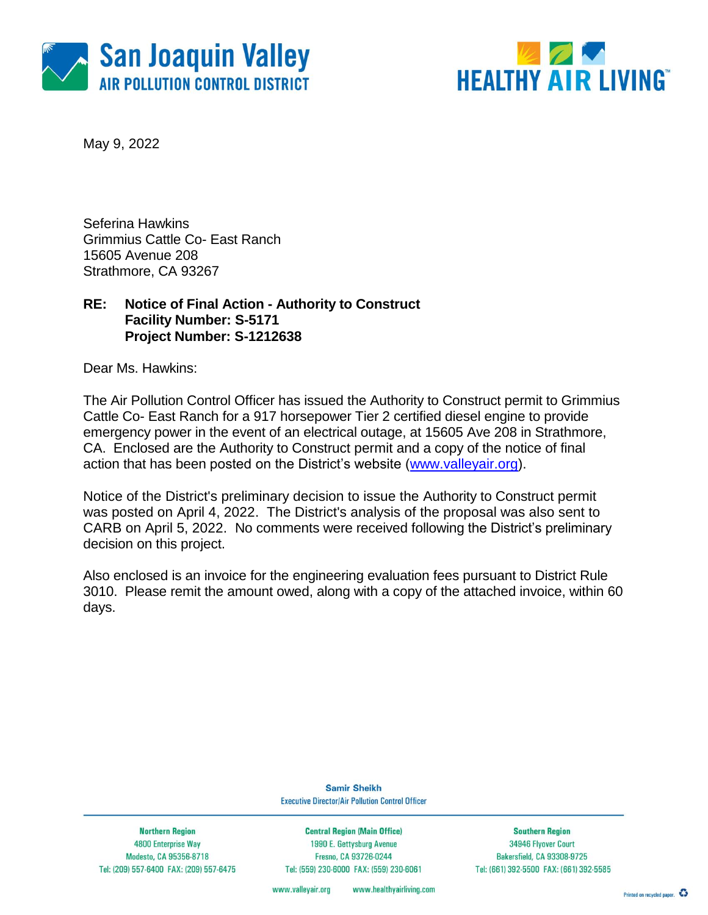



May 9, 2022

Seferina Hawkins Grimmius Cattle Co- East Ranch 15605 Avenue 208 Strathmore, CA 93267

### **RE: Notice of Final Action - Authority to Construct Facility Number: S-5171 Project Number: S-1212638**

Dear Ms. Hawkins:

The Air Pollution Control Officer has issued the Authority to Construct permit to Grimmius Cattle Co- East Ranch for a 917 horsepower Tier 2 certified diesel engine to provide emergency power in the event of an electrical outage, at 15605 Ave 208 in Strathmore, CA. Enclosed are the Authority to Construct permit and a copy of the notice of final action that has been posted on the District's website [\(www.valleyair.org\)](http://www.valleyair.org/).

Notice of the District's preliminary decision to issue the Authority to Construct permit was posted on April 4, 2022. The District's analysis of the proposal was also sent to CARB on April 5, 2022. No comments were received following the District's preliminary decision on this project.

Also enclosed is an invoice for the engineering evaluation fees pursuant to District Rule 3010. Please remit the amount owed, along with a copy of the attached invoice, within 60 days.

> **Samir Sheikh Executive Director/Air Pollution Control Officer**

**Northern Region** 4800 Enterprise Way Modesto, CA 95356-8718 Tel: (209) 557-6400 FAX: (209) 557-6475

**Central Region (Main Office)** 1990 E. Gettysburg Avenue Fresno, CA 93726-0244 Tel: (559) 230-6000 FAX: (559) 230-6061

**Southern Region** 34946 Flyover Court Bakersfield, CA 93308-9725 Tel: (661) 392-5500 FAX: (661) 392-5585

www.healthyairliving.com www.valleyair.org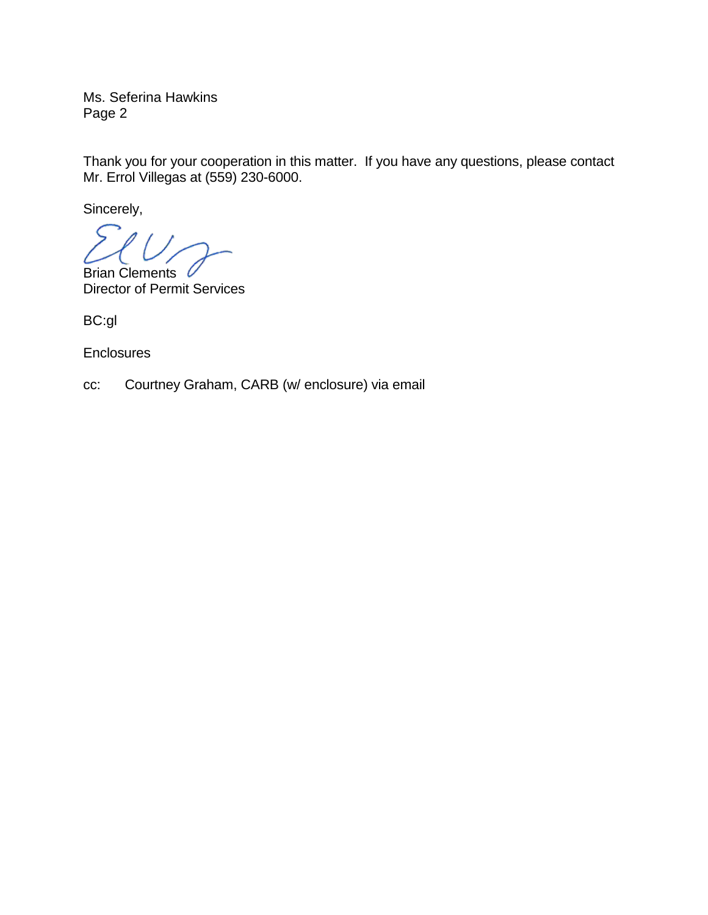Ms. Seferina Hawkins Page 2

Thank you for your cooperation in this matter. If you have any questions, please contact Mr. Errol Villegas at (559) 230-6000.

Sincerely,

Brian Clements Director of Permit Services

BC:gl

**Enclosures** 

cc: Courtney Graham, CARB (w/ enclosure) via email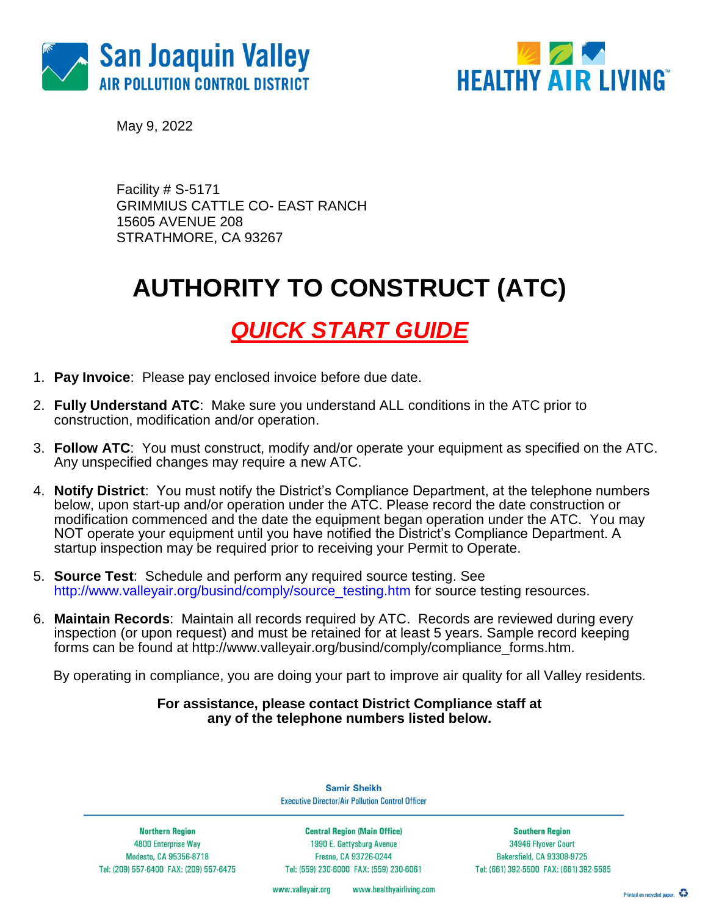



May 9, 2022

Facility # S-5171 GRIMMIUS CATTLE CO- EAST RANCH 15605 AVENUE 208 STRATHMORE, CA 93267

## **AUTHORITY TO CONSTRUCT (ATC)**

## *QUICK START GUIDE*

- 1. **Pay Invoice**: Please pay enclosed invoice before due date.
- 2. **Fully Understand ATC**: Make sure you understand ALL conditions in the ATC prior to construction, modification and/or operation.
- 3. **Follow ATC**: You must construct, modify and/or operate your equipment as specified on the ATC. Any unspecified changes may require a new ATC.
- 4. **Notify District**: You must notify the District's Compliance Department, at the telephone numbers below, upon start-up and/or operation under the ATC. Please record the date construction or modification commenced and the date the equipment began operation under the ATC. You may NOT operate your equipment until you have notified the District's Compliance Department. A startup inspection may be required prior to receiving your Permit to Operate.
- 5. **Source Test**:Schedule and perform any required source testing. See [http://www.valleyair.org/busind/comply/source\\_testing.htm](http://www.valleyair.org/busind/comply/source_testing.htm) for source testing resources.
- 6. **Maintain Records**:Maintain all records required by ATC. Records are reviewed during every inspection (or upon request) and must be retained for at least 5 years. Sample record keeping forms can be found at http://www.valleyair.org/busind/comply/compliance\_forms.htm.

By operating in compliance, you are doing your part to improve air quality for all Valley residents.

#### **For assistance, please contact District Compliance staff at any of the telephone numbers listed below.**

**Northern Region** 4800 Enterprise Way Modesto, CA 95356-8718 Tel: (209) 557-6400 FAX: (209) 557-6475

**Samir Sheikh Executive Director/Air Pollution Control Officer** 

**Central Region (Main Office)** 1990 E. Gettysburg Avenue Fresno, CA 93726-0244 Tel: (559) 230-6000 FAX: (559) 230-6061

**Southern Region** 34946 Flyover Court **Bakersfield, CA 93308-9725** Tel: (661) 392-5500 FAX: (661) 392-5585

www.healthyairliving.com www.valleyair.org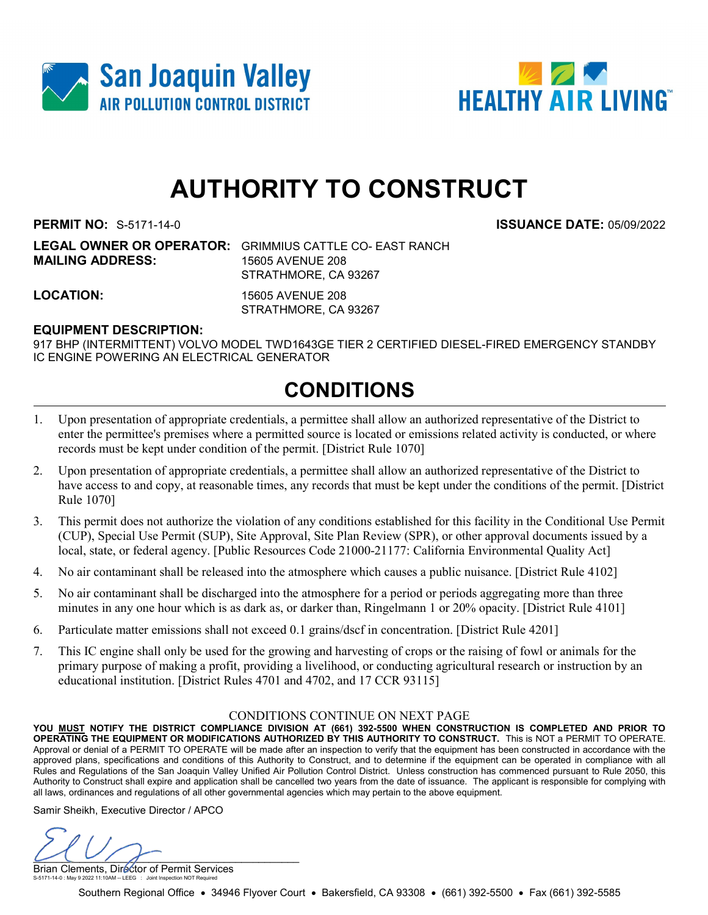



# AUTHORITY TO CONSTRUCT

PERMIT NO: S-5171-14-0 ISSUANCE DATE: 05/09/2022

LEGAL OWNER OR OPERATOR: GRIMMIUS CATTLE CO- EAST RANCH MAILING ADDRESS: 15605 AVENUE 208 STRATHMORE, CA 93267

LOCATION: 15605 AVENUE 208 STRATHMORE, CA 93267

### EQUIPMENT DESCRIPTION:

917 BHP (INTERMITTENT) VOLVO MODEL TWD1643GE TIER 2 CERTIFIED DIESEL-FIRED EMERGENCY STANDBY IC ENGINE POWERING AN ELECTRICAL GENERATOR

### CONDITIONS

- 1. Upon presentation of appropriate credentials, a permittee shall allow an authorized representative of the District to enter the permittee's premises where a permitted source is located or emissions related activity is conducted, or where records must be kept under condition of the permit. [District Rule 1070]
- 2. Upon presentation of appropriate credentials, a permittee shall allow an authorized representative of the District to have access to and copy, at reasonable times, any records that must be kept under the conditions of the permit. [District Rule 1070]
- 3. This permit does not authorize the violation of any conditions established for this facility in the Conditional Use Permit (CUP), Special Use Permit (SUP), Site Approval, Site Plan Review (SPR), or other approval documents issued by a local, state, or federal agency. [Public Resources Code 21000-21177: California Environmental Quality Act]
- 4. No air contaminant shall be released into the atmosphere which causes a public nuisance. [District Rule 4102]
- 5. No air contaminant shall be discharged into the atmosphere for a period or periods aggregating more than three minutes in any one hour which is as dark as, or darker than, Ringelmann 1 or 20% opacity. [District Rule 4101]
- 6. Particulate matter emissions shall not exceed 0.1 grains/dscf in concentration. [District Rule 4201]
- 7. This IC engine shall only be used for the growing and harvesting of crops or the raising of fowl or animals for the primary purpose of making a profit, providing a livelihood, or conducting agricultural research or instruction by an educational institution. [District Rules 4701 and 4702, and 17 CCR 93115]

#### CONDITIONS CONTINUE ON NEXT PAGE

YOU MUST NOTIFY THE DISTRICT COMPLIANCE DIVISION AT (661) 392-5500 WHEN CONSTRUCTION IS COMPLETED AND PRIOR TO OPERATING THE EQUIPMENT OR MODIFICATIONS AUTHORIZED BY THIS AUTHORITY TO CONSTRUCT. This is NOT a PERMIT TO OPERATE. Approval or denial of a PERMIT TO OPERATE will be made after an inspection to verify that the equipment has been constructed in accordance with the approved plans, specifications and conditions of this Authority to Construct, and to determine if the equipment can be operated in compliance with all Rules and Regulations of the San Joaquin Valley Unified Air Pollution Control District. Unless construction has commenced pursuant to Rule 2050, this Authority to Construct shall expire and application shall be cancelled two years from the date of issuance. The applicant is responsible for complying with all laws, ordinances and regulations of all other governmental agencies which may pertain to the above equipment.

Samir Sheikh, Executive Director / APCO

 $U(U/F)$ 

Brian Clements, Director of Permit Services S-5171-14-0 : May 9 2022 11:10AM -- LEEG : Joint Inspection NOT Required